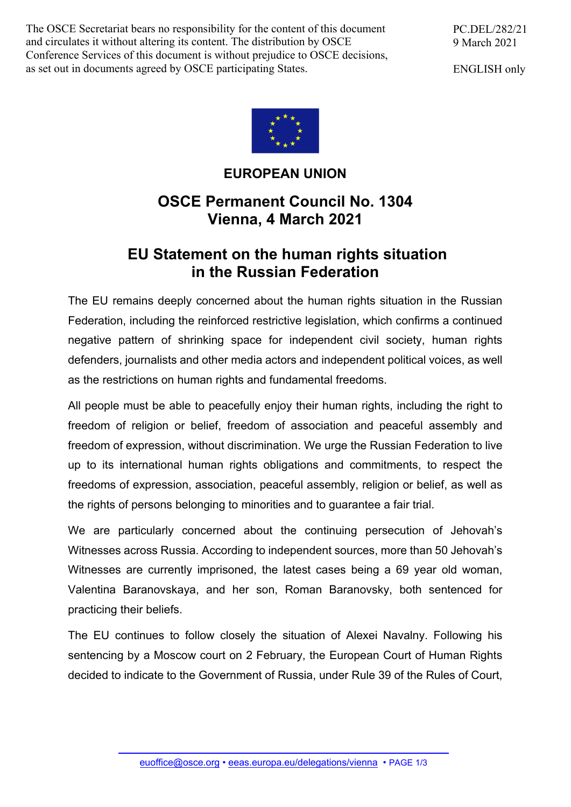The OSCE Secretariat bears no responsibility for the content of this document and circulates it without altering its content. The distribution by OSCE Conference Services of this document is without prejudice to OSCE decisions, as set out in documents agreed by OSCE participating States.

PC.DEL/282/21 9 March 2021

ENGLISH only



## **EUROPEAN UNION**

## **OSCE Permanent Council No. 1304 Vienna, 4 March 2021**

## **EU Statement on the human rights situation in the Russian Federation**

The EU remains deeply concerned about the human rights situation in the Russian Federation, including the reinforced restrictive legislation, which confirms a continued negative pattern of shrinking space for independent civil society, human rights defenders, journalists and other media actors and independent political voices, as well as the restrictions on human rights and fundamental freedoms.

All people must be able to peacefully enjoy their human rights, including the right to freedom of religion or belief, freedom of association and peaceful assembly and freedom of expression, without discrimination. We urge the Russian Federation to live up to its international human rights obligations and commitments, to respect the freedoms of expression, association, peaceful assembly, religion or belief, as well as the rights of persons belonging to minorities and to guarantee a fair trial.

We are particularly concerned about the continuing persecution of Jehovah's Witnesses across Russia. According to independent sources, more than 50 Jehovah's Witnesses are currently imprisoned, the latest cases being a 69 year old woman, Valentina Baranovskaya, and her son, Roman Baranovsky, both sentenced for practicing their beliefs.

The EU continues to follow closely the situation of Alexei Navalny. Following his sentencing by a Moscow court on 2 February, the European Court of Human Rights decided to indicate to the Government of Russia, under Rule 39 of the Rules of Court,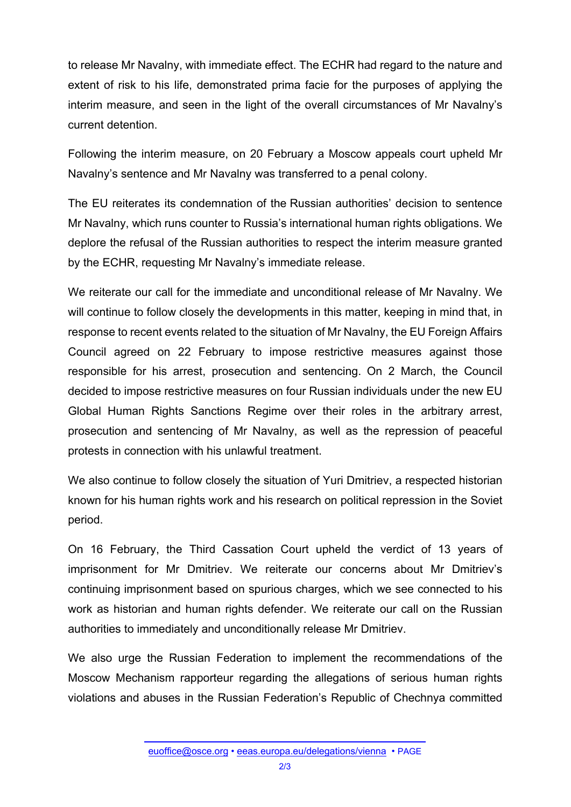to release Mr Navalny, with immediate effect. The ECHR had regard to the nature and extent of risk to his life, demonstrated prima facie for the purposes of applying the interim measure, and seen in the light of the overall circumstances of Mr Navalny's current detention.

Following the interim measure, on 20 February a Moscow appeals court upheld Mr Navalny's sentence and Mr Navalny was transferred to a penal colony.

The EU reiterates its condemnation of the Russian authorities' decision to sentence Mr Navalny, which runs counter to Russia's international human rights obligations. We deplore the refusal of the Russian authorities to respect the interim measure granted by the ECHR, requesting Mr Navalny's immediate release.

We reiterate our call for the immediate and unconditional release of Mr Navalny. We will continue to follow closely the developments in this matter, keeping in mind that, in response to recent events related to the situation of Mr Navalny, the EU Foreign Affairs Council agreed on 22 February to impose restrictive measures against those responsible for his arrest, prosecution and sentencing. On 2 March, the Council decided to impose restrictive measures on four Russian individuals under the new EU Global Human Rights Sanctions Regime over their roles in the arbitrary arrest, prosecution and sentencing of Mr Navalny, as well as the repression of peaceful protests in connection with his unlawful treatment.

We also continue to follow closely the situation of Yuri Dmitriev, a respected historian known for his human rights work and his research on political repression in the Soviet period.

On 16 February, the Third Cassation Court upheld the verdict of 13 years of imprisonment for Mr Dmitriev. We reiterate our concerns about Mr Dmitriev's continuing imprisonment based on spurious charges, which we see connected to his work as historian and human rights defender. We reiterate our call on the Russian authorities to immediately and unconditionally release Mr Dmitriev.

We also urge the Russian Federation to implement the recommendations of the Moscow Mechanism rapporteur regarding the allegations of serious human rights violations and abuses in the Russian Federation's Republic of Chechnya committed